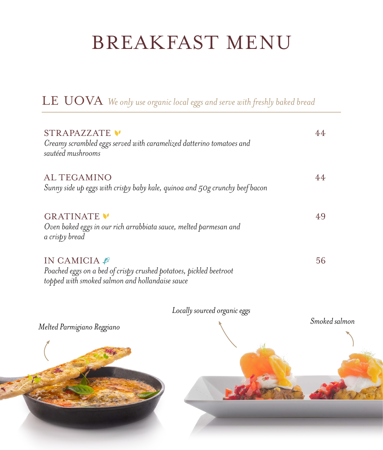# BREAKFAST MENU

| STRAPAZZATE<br>Creamy scrambled eggs served with caramelized datterino tomatoes and<br>sautéed mushrooms                            |    |
|-------------------------------------------------------------------------------------------------------------------------------------|----|
| <b>ALTEGAMINO</b><br>Sunny side up eggs with crispy baby kale, quinoa and 50g crunchy beef bacon                                    |    |
| <b>GRATINATE V</b><br>Oven baked eggs in our rich arrabbiata sauce, melted parmesan and<br>a crispy bread                           | 49 |
| IN CAMICIA<br>Poached eggs on a bed of crispy crushed potatoes, pickled beetroot<br>topped with smoked salmon and hollandaise sauce | 56 |

LE UOVA *We only use organic local eggs and serve with freshly baked bread*



*Locally sourced organic eggs*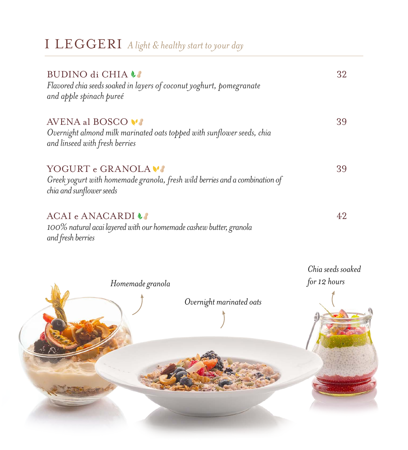| BUDINO di CHIA LE<br>Flavored chia seeds soaked in layers of coconut yoghurt, pomegranate<br>and apple spinach pureé           | 32                |
|--------------------------------------------------------------------------------------------------------------------------------|-------------------|
| AVENA al BOSCO VI<br>Overnight almond milk marinated oats topped with sunflower seeds, chia<br>and linseed with fresh berries  | 39                |
| YOGURT e GRANOLA VI<br>Greek yogurt with homemade granola, fresh wild berries and a combination of<br>chia and sunflower seeds | 39                |
| ACAI e ANACARDI LA<br>100% natural acai layered with our homemade cashew butter, granola<br>and fresh berries                  | 42                |
|                                                                                                                                | Chia seeds soaked |
| Homemade granola<br>Overnight marinated oats                                                                                   | for 12 hours      |

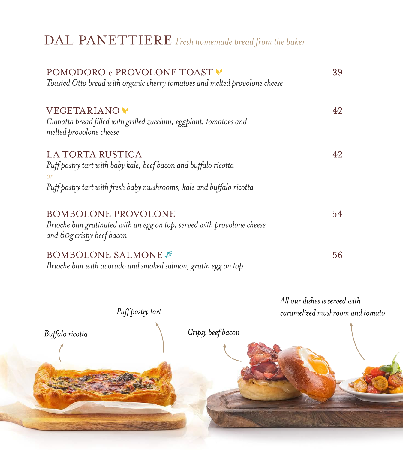DAL PANETTIERE Fresh homemade bread from the baker

| POMODORO e PROVOLONE TOAST                                                                           | 39                              |
|------------------------------------------------------------------------------------------------------|---------------------------------|
| Toasted Otto bread with organic cherry tomatoes and melted provolone cheese                          |                                 |
| VEGETARIANO <sup>V</sup>                                                                             | 42                              |
| Ciabatta bread filled with grilled zucchini, eggplant, tomatoes and<br>melted provolone cheese       |                                 |
| LA TORTA RUSTICA                                                                                     | 42                              |
| Puff pastry tart with baby kale, beef bacon and buffalo ricotta<br><b>or</b>                         |                                 |
| Puff pastry tart with fresh baby mushrooms, kale and buffalo ricotta                                 |                                 |
| <b>BOMBOLONE PROVOLONE</b>                                                                           | 54                              |
| Brioche bun gratinated with an egg on top, served with provolone cheese<br>and 60g crispy beef bacon |                                 |
| <b>BOMBOLONE SALMONE</b>                                                                             | 56                              |
| Brioche bun with avocado and smoked salmon, gratin egg on top                                        |                                 |
|                                                                                                      | All our dishes is served with   |
| Puff pastry tart                                                                                     | caramelized mushroom and tomato |
|                                                                                                      |                                 |

Buffalo ricotta

Cripsy beef bacon

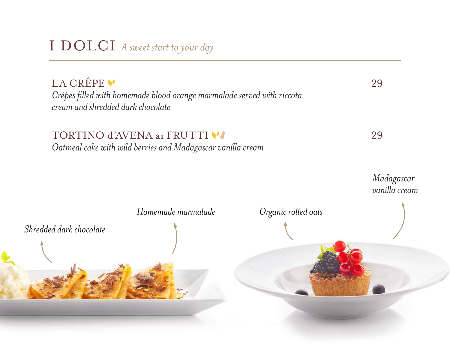## I DOLCI *A sweet start to your day*

LA CRÊPE V *Crêpes filled with homemade blood orange marmalade served with riccota cream and shredded dark chocolate* 

#### TORTINO d'AVENA ai FRUTTI VI

*Oatmeal cake with wild berries and Madagascar vanilla cream*

*Organic rolled oats Shredded dark chocolate Homemade marmalade Madagascar vanilla cream*

29

29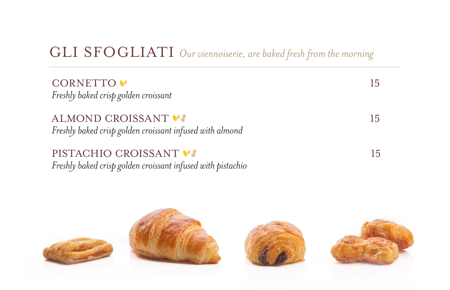## GLI SFOGLIATI *Our viennoiserie, are baked fresh from the morning*

15

15

15

CORNETTO V *Freshly baked crisp golden croissant*

#### ALMOND CROISSANT V

*Freshly baked crisp golden croissant infused with almond*

#### PISTACHIO CROISSANT V

*Freshly baked crisp golden croissant infused with pistachio*